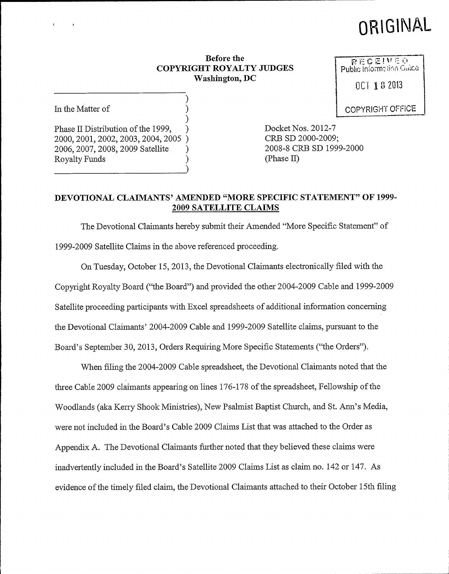# ORIGINAL

#### Before the COPYRIGHT ROYALTY JUDGES Washington, DC

) )

)

In the Matter of

) Phase II Distribution of the 1999, 2000, 2001, 2002, 2003, 2004, 2005 ) 2006, 2007, 2008, 2009 Satellite ) Royalty Funds )

Docket Nos. 2012-7 CRB SD 2000-2009; 2008-8 CRB SD 1999-2000 (Phase II)

#### DEVOTIONAL CLAIMANTS' AMENDED "MORE SPECIFIC STATEMENT" OF 1999-2009 SATELLITE CLAIMS

The Devotional Claimants hereby submit their Amended "More Specific Statement" of 1999-2009 Satellite Claims in the above referenced proceeding.

On Tuesday, October 15, 2013, the Devotional Claimants electronically filed with the Copyright Royalty Board ("the Board") and provided the other 2004-2009 Cable and 1999-2009 Satellite proceeding participants with Excel spreadsheets of additional information concerning the Devotional Claimants' 2004-2009 Cable and 1999-2009 Satellite claims, pursuant to the Board's September 30, 2013, Orders Requiring More Specific Statements ("the Orders").

When filing the 2004-2009 Cable spreadsheet, the Devotional Claimants noted that the three Cable 2009 claimants appearing on lines 176-178 of the spreadsheet, Fellowship of the Woodlands (aka I&erry Shook Ministries), New Psalmist Baptist Church, and St. Ann's Media, were not included in the Board's Cable 2009 Claims List that was attached to the Order as Appendix A. The Devotional Claimants further noted that they believed these claims were inadvertently included in the Board's Satellite 2009 Claims List as claim no. 142 or 147. As evidence ofthe timely filed claim, the Devotional Claimants attached to their October 15th filing

RECEIVED Public Information Grace

OCT 182033

COPYRIGHT OFFICE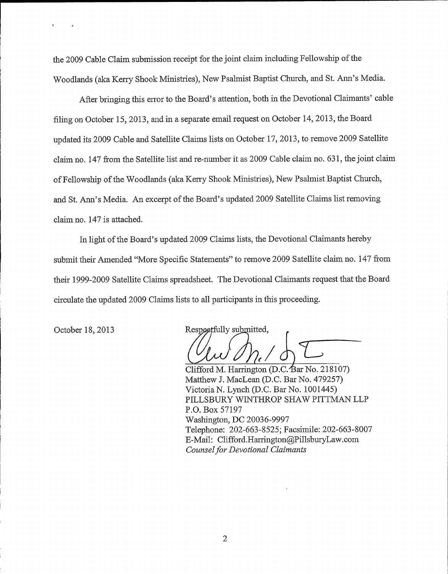the 2009 Cable Claim submission receipt for the joint claim including Fellowship of the Woodlands (aka Ikerry Shook Ministries), New Psalmist Baptist Church, and St. Ann's Media.

After bringing this error to the Board's attention, both in the Devotional Claimants' cable filing on October 15, 2013, and in a separate email request on October 14, 2013, the Board updated its 2009 Cable and Satellite Claims lists on October 17, 2013, to remove 2009 Satellite claim no. 147 from the Satellite list and re-number it as 2009 Cable claim no. 631, the joint claim of Fellowship of the Woodlands (aka Kerry Shook Ministries), New Psalmist Baptist Church, and St. Ann's Media. An excerpt of the Board's updated 2009 Satellite Claims list removing claim no. 147 is attached.

In light ofthe Board's updated 2009 Claims lists, the Devotional Claimants hereby submit their Amended "More Specific Statements" to remove 2009 Satellite claim no. 147 from their 1999-2009 Satellite Claims spreadsheet. The Devotional Claimants request that the Board circulate the updated 2009 Claims lists to all participants in this proceeding.

October 18, 2013 Respectfully submitted,

Clifford M. Harrington (D.C. Bar No. 218107) Matthew J. MacLean (D.C. Bar No. 479257) Victoria N. Lynch (D.C. Bar No. 1001445) PILLSBURY WINTHROP SHAW PITTMAN LLP P.O. Box 57197 Washington, DC 20036-9997 Telephone: 202-663-8525; Facsimile: 202-663-8007 E-Mail: Clifford.Harrington@PillsburyLaw.com Counsel for Devotional Claimants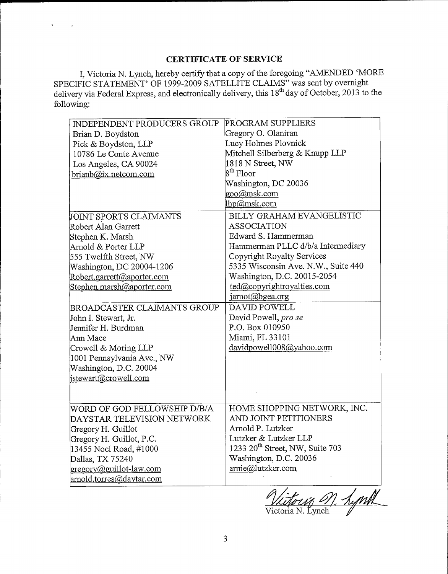### CERTIFICATE OF SERVICE

 $\mathbf{r}$ 

 $\mathcal{A}$ 

I, Victoria N. Lynch, hereby certify that a copy of the foregoing "AMENDED 'MORE SPECIFIC STATEMENT' OF 1999-2009 SATELLITE CLAIMS" was sent by overnight delivery via Federal Express, and electronically delivery, this 18<sup>th</sup> day of October, 2013 to the following:

| INDEPENDENT PRODUCERS GROUP         | PROGRAM SUPPLIERS                    |
|-------------------------------------|--------------------------------------|
| Brian D. Boydston                   | Gregory O. Olaniran                  |
| Pick & Boydston, LLP                | Lucy Holmes Plovnick                 |
| 10786 Le Conte Avenue               | Mitchell Silberberg & Knupp LLP      |
| Los Angeles, CA 90024               | 1818 N Street, NW                    |
| brianb@ix.netcom.com                | 8 <sup>th</sup> Floor                |
|                                     | Washington, DC 20036                 |
|                                     | goo@msk.com                          |
|                                     | lhp@msk.com                          |
| JOINT SPORTS CLAIMANTS              | BILLY GRAHAM EVANGELISTIC            |
| Robert Alan Garrett                 | <b>ASSOCIATION</b>                   |
| Stephen K. Marsh                    | Edward S. Hammerman                  |
| Arnold & Porter LLP                 | Hammerman PLLC d/b/a Intermediary    |
| 555 Twelfth Street, NW              | Copyright Royalty Services           |
| Washington, DC 20004-1206           | 5335 Wisconsin Ave. N.W., Suite 440  |
| Robert.garrett@aporter.com          | Washington, D.C. 20015-2054          |
| Stephen.marsh@aporter.com           | ted@copyrightroyalties.com           |
|                                     | jarnot@bgea.org                      |
| <b>BROADCASTER CLAIMANTS GROUP</b>  | DAVID POWELL                         |
| John I. Stewart, Jr.                | David Powell, pro se                 |
| Jennifer H. Burdman                 | P.O. Box 010950                      |
| lAnn Mace                           | Miami, FL 33101                      |
| Crowell & Moring LLP                | davidpowell008@yahoo.com             |
| 1001 Pennsylvania Ave., NW          |                                      |
| Washington, D.C. 20004              |                                      |
| istewart@crowell.com                |                                      |
|                                     |                                      |
|                                     |                                      |
| WORD OF GOD FELLOWSHIP D/B/A        | HOME SHOPPING NETWORK, INC.          |
| DAYSTAR TELEVISION NETWORK          | AND JOINT PETITIONERS                |
| Gregory H. Guillot                  | Arnold P. Lutzker                    |
| Gregory H. Guillot, P.C.            | Lutzker & Lutzker LLP                |
| 13455 Noel Road, #1000              | 1233 $20^{th}$ Street, NW, Suite 703 |
| Dallas, TX 75240                    | Washington, D.C. 20036               |
| $\text{gregory}(a)$ guillot-law.com | arnie@lutzker.com                    |
| arnold.torres@daytar.com            |                                      |

Victoria M. Lynth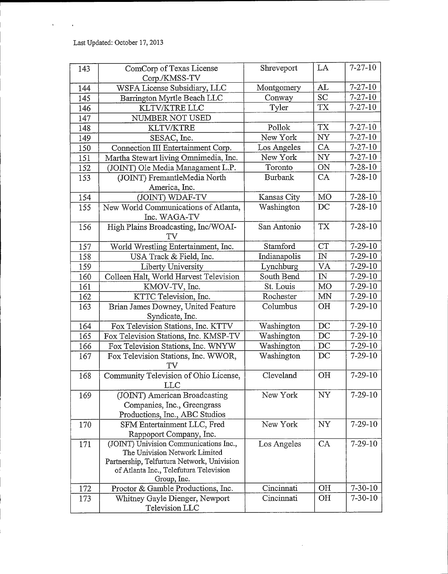$\bar{1}$ 

 $\bar{\mathbf{r}}$ 

| 143 | ComCorp of Texas License<br>Corp./KMSS-TV                                   | Shreveport     | LA             | $7 - 27 - 10$ |
|-----|-----------------------------------------------------------------------------|----------------|----------------|---------------|
| 144 | WSFA License Subsidiary, LLC                                                | Montgomery     | AL             | $7 - 27 - 10$ |
| 145 | Barrington Myrtle Beach LLC                                                 | Conway         | <b>SC</b>      | $7 - 27 - 10$ |
| 146 | KLTV/KTRE LLC                                                               | Tyler          | <b>TX</b>      | $7 - 27 - 10$ |
| 147 | NUMBER NOT USED                                                             |                |                |               |
| 148 | <b>KLTV/KTRE</b>                                                            | Pollok         | <b>TX</b>      | $7 - 27 - 10$ |
| 149 | SESAC, Inc.                                                                 | New York       | NY             | $7 - 27 - 10$ |
| 150 | Connection III Entertainment Corp.                                          | Los Angeles    | CA             | $7 - 27 - 10$ |
| 151 | Martha Stewart living Omnimedia, Inc.                                       | New York       | NY             | $7 - 27 - 10$ |
| 152 | (JOINT) Ole Media Managament L.P.                                           | Toronto        | ON             | $7 - 28 - 10$ |
| 153 | (JOINT) FremantleMedia North                                                | <b>Burbank</b> | CA             | $7 - 28 - 10$ |
|     | America, Inc.                                                               |                |                |               |
| 154 | (JOINT) WDAF-TV                                                             | Kansas City    | <b>MO</b>      | $7 - 28 - 10$ |
| 155 | New World Communications of Atlanta,                                        | Washington     | DC             | $7 - 28 - 10$ |
|     | Inc. WAGA-TV                                                                |                |                |               |
| 156 | High Plains Broadcasting, Inc/WOAI-                                         | San Antonio    | <b>TX</b>      | $7 - 28 - 10$ |
|     | TV                                                                          |                |                |               |
| 157 | World Wrestling Entertainment, Inc.                                         | Stamford       | <b>CT</b>      | $7 - 29 - 10$ |
| 158 | USA Track & Field, Inc.                                                     | Indianapolis   | $\mathbb{N}$   | $7 - 29 - 10$ |
| 159 | Liberty University                                                          | Lynchburg      | VA             | $7 - 29 - 10$ |
| 160 | Colleen Halt, World Harvest Television                                      | South Bend     | ${\rm I\!N}$   | $7 - 29 - 10$ |
| 161 | KMOV-TV, Inc.                                                               | St. Louis      | MO             | $7 - 29 - 10$ |
| 162 | KTTC Television, Inc.                                                       | Rochester      | <b>MN</b>      | $7 - 29 - 10$ |
| 163 | Brian James Downey, United Feature                                          | Columbus       | O <sub>H</sub> | $7 - 29 - 10$ |
|     | Syndicate, Inc.                                                             |                |                |               |
| 164 | Fox Television Stations, Inc. KTTV                                          | Washington     | DC             | $7 - 29 - 10$ |
| 165 | Fox Television Stations, Inc. KMSP-TV                                       | Washington     | DC             | $7 - 29 - 10$ |
| 166 | Fox Television Stations, Inc. WNYW                                          | Washington     | DC             | $7 - 29 - 10$ |
| 167 | Fox Television Stations, Inc. WWOR,                                         | Washington     | DC             | $7 - 29 - 10$ |
|     | TV                                                                          |                |                |               |
| 168 | Community Television of Ohio License,                                       | Cleveland      | OH             | $7 - 29 - 10$ |
|     | <b>LLC</b>                                                                  |                |                |               |
| 169 | (JOINT) American Broadcasting                                               | New York       | NY             | $7 - 29 - 10$ |
|     | Companies, Inc., Greengrass                                                 |                |                |               |
|     | Productions, Inc., ABC Studios                                              |                |                |               |
| 170 | SFM Entertainment LLC, Fred                                                 | New York       | NY             | $7 - 29 - 10$ |
|     | Rappoport Company, Inc.                                                     |                |                |               |
| 171 | (JOINT) Univision Communications Inc.,                                      | Los Angeles    | <b>CA</b>      | $7 - 29 - 10$ |
|     | The Univision Network Limited<br>Partnership, Telfurtura Network, Univision |                |                |               |
|     | of Atlanta Inc., Telefutura Television                                      |                |                |               |
|     | Group, Inc.                                                                 |                |                |               |
| 172 | Proctor & Gamble Productions, Inc.                                          | Cincinnati     | OH             | $7 - 30 - 10$ |
| 173 | Whitney Gayle Dienger, Newport                                              | Cincinnati     | <b>OH</b>      | $7 - 30 - 10$ |
|     | Television LLC                                                              |                |                |               |

 $\sim 10^{-11}$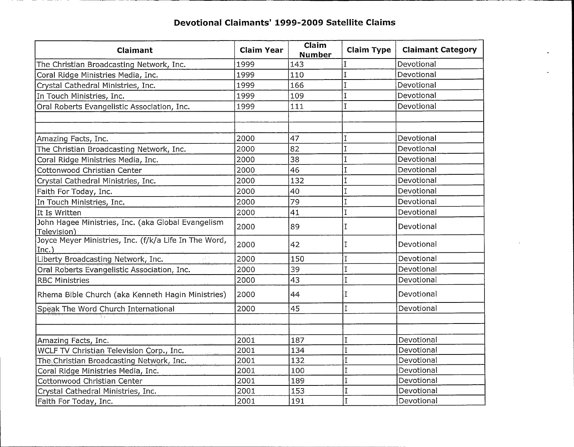| Claimant                                                                | <b>Claim Year</b> | Claim<br><b>Number</b> | <b>Claim Type</b> | <b>Claimant Category</b> |
|-------------------------------------------------------------------------|-------------------|------------------------|-------------------|--------------------------|
| The Christian Broadcasting Network, Inc.                                | 1999              | 143                    | Ι                 | Devotional               |
| Coral Ridge Ministries Media, Inc.                                      | 1999              | 110                    |                   | Devotional               |
| Crystal Cathedral Ministries, Inc.                                      | 1999              | 166                    |                   | Devotional               |
| In Touch Ministries, Inc.                                               | 1999              | 109                    | T                 | Devotional               |
| Oral Roberts Evangelistic Association, Inc.                             | 1999              | 111                    | Ï                 | Devotional               |
|                                                                         |                   |                        |                   |                          |
|                                                                         |                   |                        |                   |                          |
| Amazing Facts, Inc.                                                     | 2000              | 47                     |                   | Devotional               |
| The Christian Broadcasting Network, Inc.                                | 2000              | 82                     | I                 | Devotional               |
| Coral Ridge Ministries Media, Inc.                                      | 2000              | 38                     |                   | Devotional               |
| Cottonwood Christian Center                                             | 2000              | 46                     | I                 | Devotional               |
| Crystal Cathedral Ministries, Inc.                                      | 2000              | 132                    | $\overline{1}$    | Devotional               |
| Faith For Today, Inc.                                                   | 2000              | 40                     | Ï                 | Devotional               |
| In Touch Ministries, Inc.                                               | 2000              | 79                     | $\bar{I}$         | Devotional               |
| It Is Written                                                           | 2000              | 41                     | $\overline{1}$    | Devotional               |
| John Hagee Ministries, Inc. (aka Global Evangelism<br>Television)       | 2000              | 89                     | $\mathbf I$       | Devotional               |
| Joyce Meyer Ministries, Inc. (f/k/a Life In The Word,<br>$ Inc.\rangle$ | 2000              | 42                     | Ι                 | Devotional               |
| Liberty Broadcasting Network, Inc.<br>ya n                              | 2000              | 150                    |                   | Devotional               |
| Oral Roberts Evangelistic Association, Inc.                             | 2000              | 39                     |                   | Devotional               |
| <b>RBC Ministries</b>                                                   | 2000              | 43                     |                   | Devotional               |
| Rhema Bible Church (aka Kenneth Hagin Ministries)                       | 2000              | 44                     | I                 | Devotional               |
| Speak The Word Church International                                     | 2000              | 45                     | I                 | Devotional               |
|                                                                         |                   |                        |                   |                          |
|                                                                         |                   |                        |                   |                          |
| Amazing Facts, Inc.                                                     | 2001              | 187                    | T                 | Devotional               |
| WCLF TV Christian Television Corp., Inc.                                | 2001              | 134                    | I                 | Devotional               |
| The Christian Broadcasting Network, Inc.                                | 2001              | 132                    |                   | Devotional               |
| Coral Ridge Ministries Media, Inc.                                      | 2001              | 100                    | I                 | Devotional               |
| Cottonwood Christian Center                                             | 2001              | 189                    | I                 | Devotional               |
| Crystal Cathedral Ministries, Inc.                                      | 2001              | 153                    | I                 | Devotional               |
| Faith For Today, Inc.                                                   | 2001              | 191                    | I                 | Devotional               |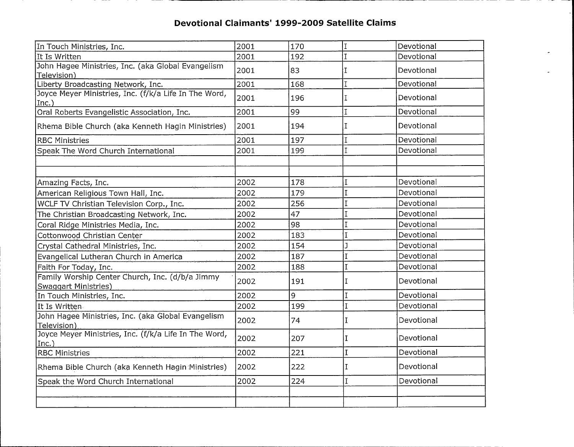| In Touch Ministries, Inc.                                                      | 2001 | 170 | I           | Devotional |
|--------------------------------------------------------------------------------|------|-----|-------------|------------|
| It Is Written                                                                  | 2001 | 192 |             | Devotional |
| John Hagee Ministries, Inc. (aka Global Evangelism<br>Television)              | 2001 | 83  | I           | Devotional |
| Liberty Broadcasting Network, Inc.                                             | 2001 | 168 | I           | Devotional |
| Joyce Meyer Ministries, Inc. (f/k/a Life In The Word,<br> Inc.)                | 2001 | 196 |             | Devotional |
| Oral Roberts Evangelistic Association, Inc.                                    | 2001 | 99  | I           | Devotional |
| Rhema Bible Church (aka Kenneth Hagin Ministries)                              | 2001 | 194 | T           | Devotional |
| <b>RBC Ministries</b>                                                          | 2001 | 197 | I           | Devotional |
| Speak The Word Church International                                            | 2001 | 199 | I           | Devotional |
|                                                                                |      |     |             |            |
|                                                                                |      |     |             |            |
| Amazing Facts, Inc.                                                            | 2002 | 178 |             | Devotional |
| American Religious Town Hall, Inc.                                             | 2002 | 179 | I           | Devotional |
| WCLF TV Christian Television Corp., Inc.                                       | 2002 | 256 | I           | Devotional |
| The Christian Broadcasting Network, Inc.                                       | 2002 | 47  |             | Devotional |
| Coral Ridge Ministries Media, Inc.                                             | 2002 | 98  |             | Devotional |
| Cottonwood Christian Center                                                    | 2002 | 183 |             | Devotional |
| Crystal Cathedral Ministries, Inc.                                             | 2002 | 154 |             | Devotional |
| Evangelical Lutheran Church in America                                         | 2002 | 187 | I           | Devotional |
| Faith For Today, Inc.                                                          | 2002 | 188 | I           | Devotional |
| Family Worship Center Church, Inc. (d/b/a Jimmy<br><b>Swaggart Ministries)</b> | 2002 | 191 | T           | Devotional |
| In Touch Ministries, Inc.                                                      | 2002 | 9   | I           | Devotional |
| It Is Written                                                                  | 2002 | 199 | I           | Devotional |
| John Hagee Ministries, Inc. (aka Global Evangelism<br>Television)              | 2002 | 74  | I           | Devotional |
| Joyce Meyer Ministries, Inc. (f/k/a Life In The Word,<br>Inc.)                 | 2002 | 207 | T           | Devotional |
| <b>RBC Ministries</b>                                                          | 2002 | 221 | $\mathbf I$ | Devotional |
| Rhema Bible Church (aka Kenneth Hagin Ministries)                              | 2002 | 222 | I           | Devotional |
| Speak the Word Church International                                            | 2002 | 224 | I           | Devotional |
|                                                                                |      |     |             |            |
|                                                                                |      |     |             |            |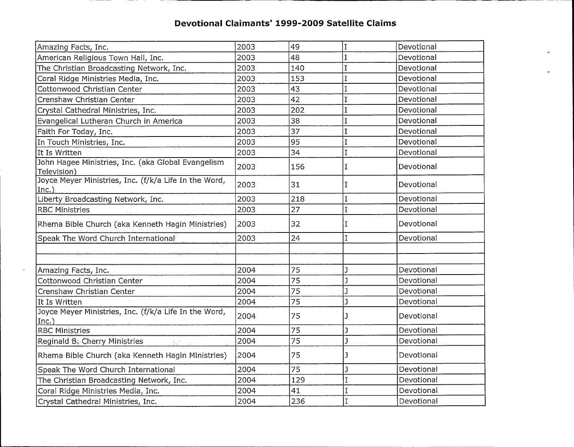$-$ 

 $\sim$ 

 $-$ 

| Amazing Facts, Inc.                                               | 2003 | 49  | Ţ              | Devotional |
|-------------------------------------------------------------------|------|-----|----------------|------------|
| American Religious Town Hall, Inc.                                | 2003 | 48  |                | Devotional |
| The Christian Broadcasting Network, Inc.                          | 2003 | 140 | Ĩ              | Devotional |
| Coral Ridge Ministries Media, Inc.                                | 2003 | 153 |                | Devotional |
| Cottonwood Christian Center                                       | 2003 | 43  |                | Devotional |
| Crenshaw Christian Center                                         | 2003 | 42  |                | Devotional |
| Crystal Cathedral Ministries, Inc.                                | 2003 | 202 | I              | Devotional |
| Evangelical Lutheran Church in America                            | 2003 | 38  |                | Devotional |
| Faith For Today, Inc.                                             | 2003 | 37  | $\mathbf I$    | Devotional |
| In Touch Ministries, Inc.                                         | 2003 | 95  | $\overline{1}$ | Devotional |
| It Is Written                                                     | 2003 | 34  | I              | Devotional |
| John Hagee Ministries, Inc. (aka Global Evangelism<br>Television) | 2003 | 156 | I              | Devotional |
| Joyce Meyer Ministries, Inc. (f/k/a Life In the Word,<br>Inc.     | 2003 | 31  | I              | Devotional |
| Liberty Broadcasting Network, Inc.                                | 2003 | 218 | I              | Devotional |
| <b>RBC Ministries</b>                                             | 2003 | 27  | $\overline{1}$ | Devotional |
| Rhema Bible Church (aka Kenneth Hagin Ministries)                 | 2003 | 32  | I              | Devotional |
| Speak The Word Church International                               | 2003 | 24  | $\mathsf{T}$   | Devotional |
|                                                                   |      |     |                |            |
|                                                                   |      |     |                |            |
| Amazing Facts, Inc.                                               | 2004 | 75  |                | Devotional |
| Cottonwood Christian Center                                       | 2004 | 75  |                | Devotional |
| Crenshaw Christian Center                                         | 2004 | 75  |                | Devotional |
| It Is Written                                                     | 2004 | 75  | ٦              | Devotional |
| Joyce Meyer Ministries, Inc. (f/k/a Life In the Word,<br>Inc.)    | 2004 | 75  |                | Devotional |
| <b>RBC Ministries</b>                                             | 2004 | 75  |                | Devotional |
| Reginald B: Cherry Ministries<br>$\mathbb{F}_q$ ?                 | 2004 | 75  | J              | Devotional |
| Rhema Bible Church (aka Kenneth Hagin Ministries)                 | 2004 | 75  |                | Devotional |
| Speak The Word Church International                               | 2004 | 75  |                | Devotional |
| The Christian Broadcasting Network, Inc.                          | 2004 | 129 | I.             | Devotional |
| Coral Ridge Ministries Media, Inc.                                | 2004 | 41  |                | Devotional |
| Crystal Cathedral Ministries, Inc.                                | 2004 | 236 | I              | Devotional |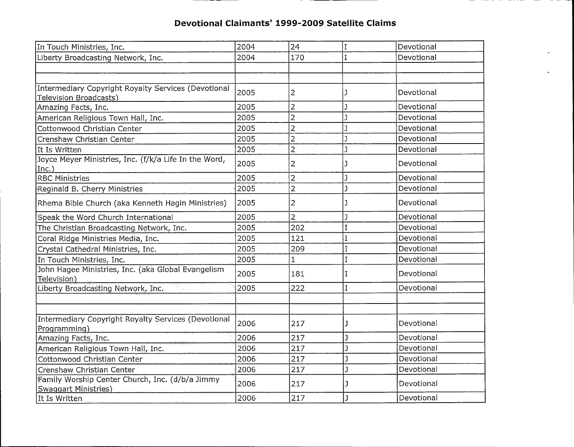$\overline{\phantom{0}}$ 

 $- -$ 

| In Touch Ministries, Inc.                                                            | 2004 | 24             |              | Devotional |
|--------------------------------------------------------------------------------------|------|----------------|--------------|------------|
| Liberty Broadcasting Network, Inc.                                                   | 2004 | 170            |              | Devotional |
|                                                                                      |      |                |              |            |
|                                                                                      |      |                |              |            |
| <b>Intermediary Copyright Royalty Services (Devotional</b><br>Television Broadcasts) | 2005 | 2              | J.           | Devotional |
| Amazing Facts, Inc.                                                                  | 2005 | 2              |              | Devotional |
| American Religious Town Hall, Inc.                                                   | 2005 | $\overline{2}$ | $\mathbf{1}$ | Devotional |
| Cottonwood Christian Center                                                          | 2005 | $\overline{2}$ | J            | Devotional |
| Crenshaw Christian Center                                                            | 2005 | $\overline{2}$ |              | Devotional |
| It Is Written                                                                        | 2005 | $\overline{2}$ |              | Devotional |
| Joyce Meyer Ministries, Inc. (f/k/a Life In the Word,<br>Inc.)                       | 2005 | 2              |              | Devotional |
| <b>RBC Ministries</b>                                                                | 2005 | 2              |              | Devotional |
| Reginald B. Cherry Ministries                                                        | 2005 | $\overline{2}$ | J            | Devotional |
| Rhema Bible Church (aka Kenneth Hagin Ministries)                                    | 2005 | 2              |              | Devotional |
| Speak the Word Church International                                                  | 2005 | $\overline{2}$ |              | Devotional |
| The Christian Broadcasting Network, Inc.                                             | 2005 | 202            |              | Devotional |
| Coral Ridge Ministries Media, Inc.                                                   | 2005 | 121            |              | Devotional |
| Crystal Cathedral Ministries, Inc.                                                   | 2005 | 209            | I            | Devotional |
| In Touch Ministries, Inc.                                                            | 2005 | 1              | I            | Devotional |
| John Hagee Ministries, Inc. (aka Global Evangelism<br>Television)                    | 2005 | 181            | I            | Devotional |
| Liberty Broadcasting Network, Inc.                                                   | 2005 | 222            | I            | Devotional |
|                                                                                      |      |                |              |            |
|                                                                                      |      |                |              |            |
| Intermediary Copyright Royalty Services (Devotional<br>Programming)                  | 2006 | 217            | J            | Devotional |
| Amazing Facts, Inc.                                                                  | 2006 | 217            |              | Devotional |
| American Religious Town Hall, Inc.                                                   | 2006 | 217            |              | Devotional |
| Cottonwood Christian Center                                                          | 2006 | 217            | J            | Devotional |
| Crenshaw Christian Center                                                            | 2006 | 217            |              | Devotional |
| Family Worship Center Church, Inc. (d/b/a Jimmy<br><b>Swaggart Ministries)</b>       | 2006 | 217            |              | Devotional |
| It Is Written                                                                        | 2006 | 217            | ı            | Devotional |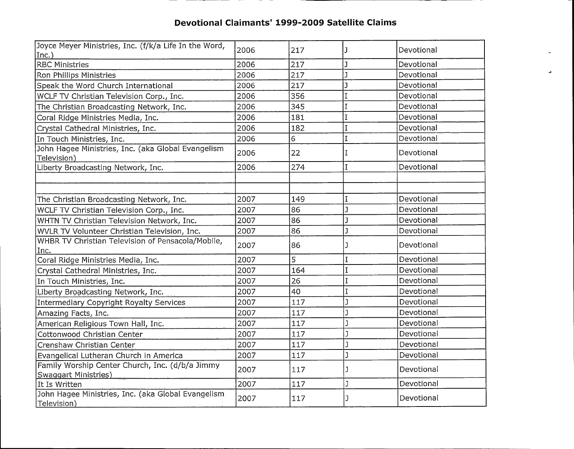\_\_\_\_\_\_\_

 $-$ 

 $\overline{\phantom{0}}$  $-$ 

| Joyce Meyer Ministries, Inc. (f/k/a Life In the Word,<br> Inc.)                | 2006 | 217 |              | Devotional |
|--------------------------------------------------------------------------------|------|-----|--------------|------------|
| <b>RBC Ministries</b>                                                          | 2006 | 217 |              | Devotional |
| Ron Phillips Ministries                                                        | 2006 | 217 |              | Devotional |
| Speak the Word Church International                                            | 2006 | 217 | J            | Devotional |
| WCLF TV Christian Television Corp., Inc.                                       | 2006 | 356 | I.           | Devotional |
| The Christian Broadcasting Network, Inc.                                       | 2006 | 345 | Ĩ            | Devotional |
| Coral Ridge Ministries Media, Inc.                                             | 2006 | 181 | Ī            | Devotional |
| Crystal Cathedral Ministries, Inc.                                             | 2006 | 182 | $\mathbf I$  | Devotional |
| In Touch Ministries, Inc.                                                      | 2006 | 6   | I            | Devotional |
| John Hagee Ministries, Inc. (aka Global Evangelism<br>Television)              | 2006 | 22  | Ι            | Devotional |
| Liberty Broadcasting Network, Inc.                                             | 2006 | 274 | T            | Devotional |
|                                                                                |      |     |              |            |
|                                                                                |      |     |              |            |
| The Christian Broadcasting Network, Inc.                                       | 2007 | 149 |              | Devotional |
| WCLF TV Christian Television Corp., Inc.                                       | 2007 | 86  |              | Devotional |
| WHTN TV Christian Television Network, Inc.                                     | 2007 | 86  |              | Devotional |
| WVLR TV Volunteer Christian Television, Inc.                                   | 2007 | 86  | $\mathbf{I}$ | Devotional |
| WHBR TV Christian Television of Pensacola/Mobile,<br>Inc.                      | 2007 | 86  |              | Devotional |
| Coral Ridge Ministries Media, Inc.                                             | 2007 | 5   |              | Devotional |
| Crystal Cathedral Ministries, Inc.                                             | 2007 | 164 |              | Devotional |
| In Touch Ministries, Inc.                                                      | 2007 | 26  |              | Devotional |
| Liberty Broadcasting Network, Inc.                                             | 2007 | 40  | T            | Devotional |
| Intermediary Copyright Royalty Services                                        | 2007 | 117 | J            | Devotional |
| Amazing Facts, Inc.                                                            | 2007 | 117 | ı            | Devotional |
| American Religious Town Hall, Inc.                                             | 2007 | 117 | ı            | Devotional |
| Cottonwood Christian Center                                                    | 2007 | 117 | Ĩ            | Devotional |
| Crenshaw Christian Center                                                      | 2007 | 117 | ٦            | Devotional |
| Evangelical Lutheran Church in America                                         | 2007 | 117 | J            | Devotional |
| Family Worship Center Church, Inc. (d/b/a Jimmy<br><b>Swaggart Ministries)</b> | 2007 | 117 | ı            | Devotional |
| It Is Written                                                                  | 2007 | 117 | J            | Devotional |
| John Hagee Ministries, Inc. (aka Global Evangelism<br>Television)              | 2007 | 117 | ŋ            | Devotional |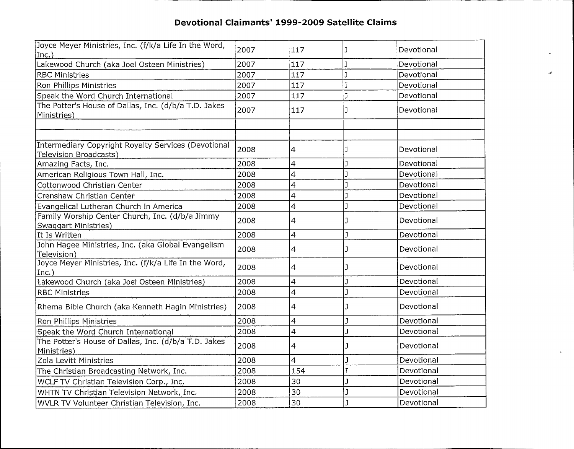| Joyce Meyer Ministries, Inc. (f/k/a Life In the Word,<br>Inc.)                 | 2007 | 117            |              | Devotional |
|--------------------------------------------------------------------------------|------|----------------|--------------|------------|
| Lakewood Church (aka Joel Osteen Ministries)                                   | 2007 | 117            |              | Devotional |
| <b>RBC Ministries</b>                                                          | 2007 | 117            |              | Devotional |
| Ron Phillips Ministries                                                        | 2007 | 117            | ĭ            | Devotional |
| Speak the Word Church International                                            | 2007 | 117            | ٦            | Devotional |
| The Potter's House of Dallas, Inc. (d/b/a T.D. Jakes<br>Ministries)            | 2007 | 117            |              | Devotional |
|                                                                                |      |                |              |            |
| Intermediary Copyright Royalty Services (Devotional<br>Television Broadcasts)  | 2008 | 4              |              | Devotional |
| Amazing Facts, Inc.                                                            | 2008 | 4              |              | Devotional |
| American Religious Town Hall, Inc.                                             | 2008 | 4              |              | Devotional |
| Cottonwood Christian Center                                                    | 2008 | $\overline{4}$ |              | Devotional |
| Crenshaw Christian Center                                                      | 2008 | 4              |              | Devotional |
| Evangelical Lutheran Church in America                                         | 2008 | 4              |              | Devotional |
| Family Worship Center Church, Inc. (d/b/a Jimmy<br><b>Swaggart Ministries)</b> | 2008 | 4              |              | Devotional |
| It Is Written                                                                  | 2008 | 4              | ı            | Devotional |
| John Hagee Ministries, Inc. (aka Global Evangelism<br>Television)              | 2008 | 4              |              | Devotional |
| Joyce Meyer Ministries, Inc. (f/k/a Life In the Word,<br>Inc.)                 | 2008 | 4              | J            | Devotional |
| Lakewood Church (aka Joel Osteen Ministries)                                   | 2008 | 4              | $\mathbf{1}$ | Devotional |
| <b>RBC Ministries</b>                                                          | 2008 | 4              | J            | Devotional |
| Rhema Bible Church (aka Kenneth Hagin Ministries)                              | 2008 | 4              | ٦            | Devotional |
| Ron Phillips Ministries                                                        | 2008 | 4              | ı            | Devotional |
| Speak the Word Church International                                            | 2008 | 4              | ı            | Devotional |
| The Potter's House of Dallas, Inc. (d/b/a T.D. Jakes<br>Ministries)            | 2008 | 4              | ٦            | Devotional |
| Zola Levitt Ministries                                                         | 2008 | 4              | 1            | Devotional |
| The Christian Broadcasting Network, Inc.                                       | 2008 | 154            | T            | Devotional |
| WCLF TV Christian Television Corp., Inc.                                       | 2008 | 30             |              | Devotional |
| WHTN TV Christian Television Network, Inc.                                     | 2008 | 30             |              | Devotional |
| WVLR TV Volunteer Christian Television, Inc.                                   | 2008 | 30             |              | Devotional |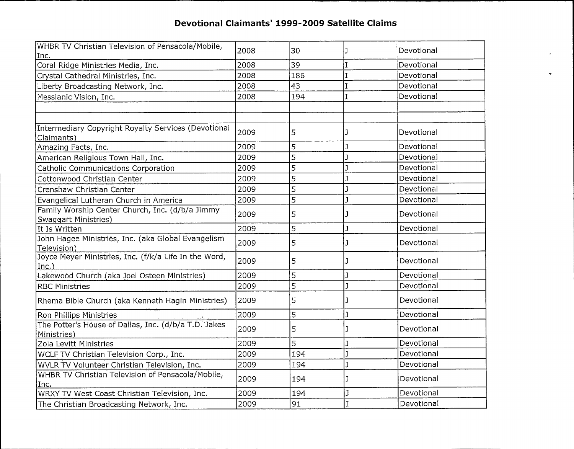$\tilde{\mathcal{A}}$ 

| WHBR TV Christian Television of Pensacola/Mobile,                              | 2008 | 30  | J | Devotional |
|--------------------------------------------------------------------------------|------|-----|---|------------|
| Inc.                                                                           |      |     |   |            |
| Coral Ridge Ministries Media, Inc.                                             | 2008 | 39  |   | Devotional |
| Crystal Cathedral Ministries, Inc.                                             | 2008 | 186 |   | Devotional |
| Liberty Broadcasting Network, Inc.                                             | 2008 | 43  |   | Devotional |
| Messianic Vision, Inc.                                                         | 2008 | 194 |   | Devotional |
|                                                                                |      |     |   |            |
|                                                                                |      |     |   |            |
| Intermediary Copyright Royalty Services (Devotional<br>Claimants)              | 2009 | 5   |   | Devotional |
| Amazing Facts, Inc.                                                            | 2009 | 5   |   | Devotional |
| American Religious Town Hall, Inc.                                             | 2009 | 5   | J | Devotional |
| Catholic Communications Corporation                                            | 2009 | 5   |   | Devotional |
| Cottonwood Christian Center                                                    | 2009 | 5   |   | Devotional |
| Crenshaw Christian Center                                                      | 2009 | 5   | J | Devotional |
| Evangelical Lutheran Church in America                                         | 2009 | 5   |   | Devotional |
| Family Worship Center Church, Inc. (d/b/a Jimmy<br><b>Swaggart Ministries)</b> | 2009 | 5   |   | Devotional |
| It Is Written                                                                  | 2009 | 5   | J | Devotional |
| John Hagee Ministries, Inc. (aka Global Evangelism<br>Television)              | 2009 | 5   |   | Devotional |
| Joyce Meyer Ministries, Inc. (f/k/a Life In the Word,<br>Inc.                  | 2009 | 5   |   | Devotional |
| Lakewood Church (aka Joel Osteen Ministries)                                   | 2009 | 5   |   | Devotional |
| RBC Ministries                                                                 | 2009 | 5   |   | Devotional |
| Rhema Bible Church (aka Kenneth Hagin Ministries)                              | 2009 | 5   |   | Devotional |
| Ron Phillips Ministries                                                        | 2009 | 5   |   | Devotional |
| The Potter's House of Dallas, Inc. (d/b/a T.D. Jakes<br>Ministries)            | 2009 | 5   |   | Devotional |
| Zola Levitt Ministries                                                         | 2009 | 5   |   | Devotional |
| WCLF TV Christian Television Corp., Inc.                                       | 2009 | 194 |   | Devotional |
| WVLR TV Volunteer Christian Television, Inc.                                   | 2009 | 194 |   | Devotional |
| WHBR TV Christian Television of Pensacola/Mobile,                              | 2009 | 194 |   | Devotional |
| Inc.                                                                           |      |     |   |            |
| WRXY TV West Coast Christian Television, Inc.                                  | 2009 | 194 |   | Devotional |
| The Christian Broadcasting Network, Inc.                                       | 2009 | 91  |   | Devotional |